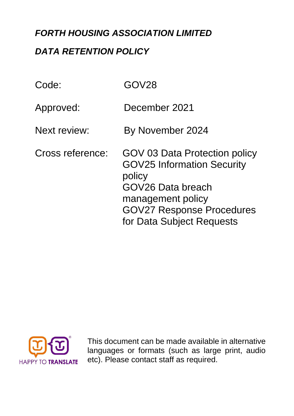# *FORTH HOUSING ASSOCIATION LIMITED*

# *DATA RETENTION POLICY*

| Code:            | GOV28                                                                                                                                                                                   |
|------------------|-----------------------------------------------------------------------------------------------------------------------------------------------------------------------------------------|
| Approved:        | December 2021                                                                                                                                                                           |
| Next review:     | By November 2024                                                                                                                                                                        |
| Cross reference: | GOV 03 Data Protection policy<br><b>GOV25 Information Security</b><br>policy<br>GOV26 Data breach<br>management policy<br><b>GOV27 Response Procedures</b><br>for Data Subject Requests |



This document can be made available in alternative languages or formats (such as large print, audio etc). Please contact staff as required.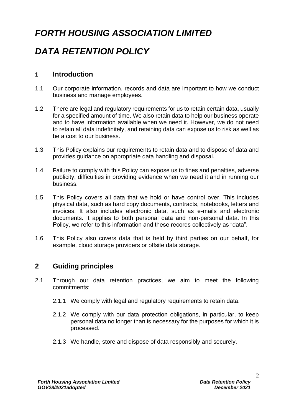# *FORTH HOUSING ASSOCIATION LIMITED*

# *DATA RETENTION POLICY*

### **1 Introduction**

- 1.1 Our corporate information, records and data are important to how we conduct business and manage employees.
- 1.2 There are legal and regulatory requirements for us to retain certain data, usually for a specified amount of time. We also retain data to help our business operate and to have information available when we need it. However, we do not need to retain all data indefinitely, and retaining data can expose us to risk as well as be a cost to our business.
- 1.3 This Policy explains our requirements to retain data and to dispose of data and provides guidance on appropriate data handling and disposal.
- 1.4 Failure to comply with this Policy can expose us to fines and penalties, adverse publicity, difficulties in providing evidence when we need it and in running our business.
- 1.5 This Policy covers all data that we hold or have control over. This includes physical data, such as hard copy documents, contracts, notebooks, letters and invoices. It also includes electronic data, such as e-mails and electronic documents. It applies to both personal data and non-personal data. In this Policy, we refer to this information and these records collectively as "data".
- 1.6 This Policy also covers data that is held by third parties on our behalf, for example, cloud storage providers or offsite data storage.

## **2 Guiding principles**

- 2.1 Through our data retention practices, we aim to meet the following commitments:
	- 2.1.1 We comply with legal and regulatory requirements to retain data.
	- 2.1.2 We comply with our data protection obligations, in particular, to keep personal data no longer than is necessary for the purposes for which it is processed.
	- 2.1.3 We handle, store and dispose of data responsibly and securely.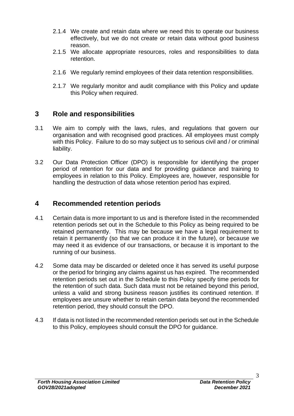- 2.1.4 We create and retain data where we need this to operate our business effectively, but we do not create or retain data without good business reason.
- 2.1.5 We allocate appropriate resources, roles and responsibilities to data retention.
- 2.1.6 We regularly remind employees of their data retention responsibilities.
- 2.1.7 We regularly monitor and audit compliance with this Policy and update this Policy when required.

### **3 Role and responsibilities**

- 3.1 We aim to comply with the laws, rules, and regulations that govern our organisation and with recognised good practices. All employees must comply with this Policy. Failure to do so may subject us to serious civil and / or criminal liability.
- 3.2 Our Data Protection Officer (DPO) is responsible for identifying the proper period of retention for our data and for providing guidance and training to employees in relation to this Policy. Employees are, however, responsible for handling the destruction of data whose retention period has expired.

#### **4 Recommended retention periods**

- 4.1 Certain data is more important to us and is therefore listed in the recommended retention periods set out in the Schedule to this Policy as being required to be retained permanently. This may be because we have a legal requirement to retain it permanently (so that we can produce it in the future), or because we may need it as evidence of our transactions, or because it is important to the running of our business.
- 4.2 Some data may be discarded or deleted once it has served its useful purpose or the period for bringing any claims against us has expired. The recommended retention periods set out in the Schedule to this Policy specify time periods for the retention of such data. Such data must not be retained beyond this period, unless a valid and strong business reason justifies its continued retention. If employees are unsure whether to retain certain data beyond the recommended retention period, they should consult the DPO.
- 4.3 If data is not listed in the recommended retention periods set out in the Schedule to this Policy, employees should consult the DPO for guidance.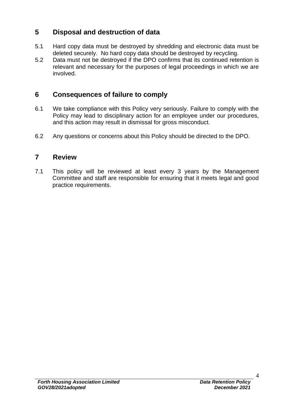## **5 Disposal and destruction of data**

- 5.1 Hard copy data must be destroyed by shredding and electronic data must be deleted securely. No hard copy data should be destroyed by recycling.
- 5.2 Data must not be destroyed if the DPO confirms that its continued retention is relevant and necessary for the purposes of legal proceedings in which we are involved.

## **6 Consequences of failure to comply**

- 6.1 We take compliance with this Policy very seriously. Failure to comply with the Policy may lead to disciplinary action for an employee under our procedures, and this action may result in dismissal for gross misconduct.
- 6.2 Any questions or concerns about this Policy should be directed to the DPO.

### **7 Review**

7.1 This policy will be reviewed at least every 3 years by the Management Committee and staff are responsible for ensuring that it meets legal and good practice requirements.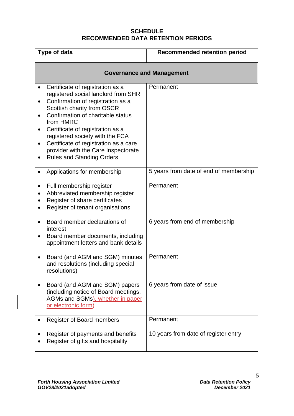#### **SCHEDULE RECOMMENDED DATA RETENTION PERIODS**

| Type of data                                                                                                                                                                                                                                                                                                                                                                                                                   | <b>Recommended retention period</b>    |
|--------------------------------------------------------------------------------------------------------------------------------------------------------------------------------------------------------------------------------------------------------------------------------------------------------------------------------------------------------------------------------------------------------------------------------|----------------------------------------|
|                                                                                                                                                                                                                                                                                                                                                                                                                                | <b>Governance and Management</b>       |
| Certificate of registration as a<br>registered social landlord from SHR<br>Confirmation of registration as a<br>$\bullet$<br>Scottish charity from OSCR<br>Confirmation of charitable status<br>from HMRC<br>Certificate of registration as a<br>$\bullet$<br>registered society with the FCA<br>Certificate of registration as a care<br>$\bullet$<br>provider with the Care Inspectorate<br><b>Rules and Standing Orders</b> | Permanent                              |
| Applications for membership                                                                                                                                                                                                                                                                                                                                                                                                    | 5 years from date of end of membership |
| Full membership register<br>Abbreviated membership register<br>Register of share certificates<br>Register of tenant organisations                                                                                                                                                                                                                                                                                              | Permanent                              |
| Board member declarations of<br>interest<br>Board member documents, including<br>appointment letters and bank details                                                                                                                                                                                                                                                                                                          | 6 years from end of membership         |
| Board (and AGM and SGM) minutes<br>and resolutions (including special<br>resolutions)                                                                                                                                                                                                                                                                                                                                          | Permanent                              |
| Board (and AGM and SGM) papers<br>(including notice of Board meetings,<br>AGMs and SGMs), whether in paper<br>or electronic form)                                                                                                                                                                                                                                                                                              | 6 years from date of issue             |
| <b>Register of Board members</b>                                                                                                                                                                                                                                                                                                                                                                                               | Permanent                              |
| Register of payments and benefits<br>Register of gifts and hospitality                                                                                                                                                                                                                                                                                                                                                         | 10 years from date of register entry   |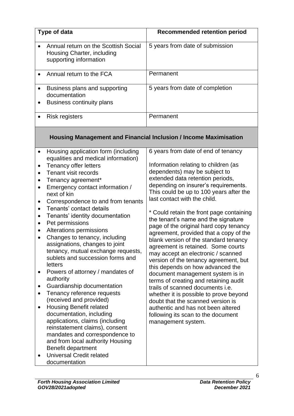| <b>Recommended retention period</b><br>Type of data<br>5 years from date of submission<br>Annual return on the Scottish Social<br>Housing Charter, including<br>supporting information<br>Permanent<br>Annual return to the FCA<br>5 years from date of completion<br>Business plans and supporting<br>$\bullet$<br>documentation<br><b>Business continuity plans</b><br>Permanent<br><b>Risk registers</b><br><b>Housing Management and Financial Inclusion / Income Maximisation</b><br>6 years from date of end of tenancy<br>Housing application form (including<br>$\bullet$<br>equalities and medical information)<br>Information relating to children (as<br><b>Tenancy offer letters</b><br>$\bullet$<br>dependents) may be subject to<br>Tenant visit records<br>extended data retention periods,<br>Tenancy agreement*<br>depending on insurer's requirements.<br>Emergency contact information /<br>$\bullet$<br>This could be up to 100 years after the<br>next of kin<br>last contact with the child.<br>Correspondence to and from tenants<br>$\bullet$<br>Tenants' contact details<br>$\bullet$<br>* Could retain the front page containing<br>Tenants' identity documentation<br>٠<br>the tenant's name and the signature<br>Pet permissions<br>page of the original hard copy tenancy<br>Alterations permissions<br>agreement, provided that a copy of the<br>Changes to tenancy, including<br>blank version of the standard tenancy<br>assignations, changes to joint<br>agreement is retained. Some courts<br>tenancy, mutual exchange requests,<br>may accept an electronic / scanned<br>sublets and succession forms and<br>version of the tenancy agreement, but<br>letters<br>this depends on how advanced the<br>Powers of attorney / mandates of<br>document management system is in<br>authority<br>terms of creating and retaining audit<br>Guardianship documentation<br>trails of scanned documents i.e.<br>Tenancy reference requests<br>$\bullet$<br>whether it is possible to prove beyond<br>(received and provided)<br>doubt that the scanned version is<br><b>Housing Benefit related</b><br>٠ |  |                                    |
|-----------------------------------------------------------------------------------------------------------------------------------------------------------------------------------------------------------------------------------------------------------------------------------------------------------------------------------------------------------------------------------------------------------------------------------------------------------------------------------------------------------------------------------------------------------------------------------------------------------------------------------------------------------------------------------------------------------------------------------------------------------------------------------------------------------------------------------------------------------------------------------------------------------------------------------------------------------------------------------------------------------------------------------------------------------------------------------------------------------------------------------------------------------------------------------------------------------------------------------------------------------------------------------------------------------------------------------------------------------------------------------------------------------------------------------------------------------------------------------------------------------------------------------------------------------------------------------------------------------------------------------------------------------------------------------------------------------------------------------------------------------------------------------------------------------------------------------------------------------------------------------------------------------------------------------------------------------------------------------------------------------------------------------------------------------------------------------------------------------------------------------|--|------------------------------------|
|                                                                                                                                                                                                                                                                                                                                                                                                                                                                                                                                                                                                                                                                                                                                                                                                                                                                                                                                                                                                                                                                                                                                                                                                                                                                                                                                                                                                                                                                                                                                                                                                                                                                                                                                                                                                                                                                                                                                                                                                                                                                                                                                   |  |                                    |
|                                                                                                                                                                                                                                                                                                                                                                                                                                                                                                                                                                                                                                                                                                                                                                                                                                                                                                                                                                                                                                                                                                                                                                                                                                                                                                                                                                                                                                                                                                                                                                                                                                                                                                                                                                                                                                                                                                                                                                                                                                                                                                                                   |  |                                    |
|                                                                                                                                                                                                                                                                                                                                                                                                                                                                                                                                                                                                                                                                                                                                                                                                                                                                                                                                                                                                                                                                                                                                                                                                                                                                                                                                                                                                                                                                                                                                                                                                                                                                                                                                                                                                                                                                                                                                                                                                                                                                                                                                   |  |                                    |
|                                                                                                                                                                                                                                                                                                                                                                                                                                                                                                                                                                                                                                                                                                                                                                                                                                                                                                                                                                                                                                                                                                                                                                                                                                                                                                                                                                                                                                                                                                                                                                                                                                                                                                                                                                                                                                                                                                                                                                                                                                                                                                                                   |  |                                    |
|                                                                                                                                                                                                                                                                                                                                                                                                                                                                                                                                                                                                                                                                                                                                                                                                                                                                                                                                                                                                                                                                                                                                                                                                                                                                                                                                                                                                                                                                                                                                                                                                                                                                                                                                                                                                                                                                                                                                                                                                                                                                                                                                   |  |                                    |
|                                                                                                                                                                                                                                                                                                                                                                                                                                                                                                                                                                                                                                                                                                                                                                                                                                                                                                                                                                                                                                                                                                                                                                                                                                                                                                                                                                                                                                                                                                                                                                                                                                                                                                                                                                                                                                                                                                                                                                                                                                                                                                                                   |  |                                    |
| documentation, including<br>following its scan to the document<br>applications, claims (including<br>management system.<br>reinstatement claims), consent                                                                                                                                                                                                                                                                                                                                                                                                                                                                                                                                                                                                                                                                                                                                                                                                                                                                                                                                                                                                                                                                                                                                                                                                                                                                                                                                                                                                                                                                                                                                                                                                                                                                                                                                                                                                                                                                                                                                                                         |  | authentic and has not been altered |

Benefit department • Universal Credit related documentation

> *Data Retention Policy December 2021*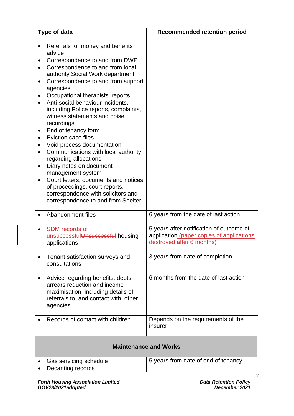|                        | Type of data                                                                                                                                                                                                                                                                                                                                                                                                                                                                                                                                                                                                                                                                                                            | <b>Recommended retention period</b>                                                                                |
|------------------------|-------------------------------------------------------------------------------------------------------------------------------------------------------------------------------------------------------------------------------------------------------------------------------------------------------------------------------------------------------------------------------------------------------------------------------------------------------------------------------------------------------------------------------------------------------------------------------------------------------------------------------------------------------------------------------------------------------------------------|--------------------------------------------------------------------------------------------------------------------|
| $\bullet$<br>$\bullet$ | Referrals for money and benefits<br>advice<br>Correspondence to and from DWP<br>Correspondence to and from local<br>authority Social Work department<br>Correspondence to and from support<br>agencies<br>Occupational therapists' reports<br>Anti-social behaviour incidents,<br>including Police reports, complaints,<br>witness statements and noise<br>recordings<br>End of tenancy form<br>Eviction case files<br>Void process documentation<br>Communications with local authority<br>regarding allocations<br>Diary notes on document<br>management system<br>Court letters, documents and notices<br>of proceedings, court reports,<br>correspondence with solicitors and<br>correspondence to and from Shelter |                                                                                                                    |
|                        | Abandonment files                                                                                                                                                                                                                                                                                                                                                                                                                                                                                                                                                                                                                                                                                                       | 6 years from the date of last action                                                                               |
|                        | <b>SDM</b> records of<br>unsuccessful Unsuccessful housing<br>applications                                                                                                                                                                                                                                                                                                                                                                                                                                                                                                                                                                                                                                              | 5 years after notification of outcome of<br>application (paper copies of applications<br>destroyed after 6 months) |
|                        | Tenant satisfaction surveys and<br>consultations                                                                                                                                                                                                                                                                                                                                                                                                                                                                                                                                                                                                                                                                        | 3 years from date of completion                                                                                    |
|                        | Advice regarding benefits, debts<br>arrears reduction and income<br>maximisation, including details of<br>referrals to, and contact with, other<br>agencies                                                                                                                                                                                                                                                                                                                                                                                                                                                                                                                                                             | 6 months from the date of last action                                                                              |
|                        | Records of contact with children                                                                                                                                                                                                                                                                                                                                                                                                                                                                                                                                                                                                                                                                                        | Depends on the requirements of the<br>insurer                                                                      |
|                        |                                                                                                                                                                                                                                                                                                                                                                                                                                                                                                                                                                                                                                                                                                                         | <b>Maintenance and Works</b>                                                                                       |
|                        | Gas servicing schedule<br>Decanting records                                                                                                                                                                                                                                                                                                                                                                                                                                                                                                                                                                                                                                                                             | 5 years from date of end of tenancy                                                                                |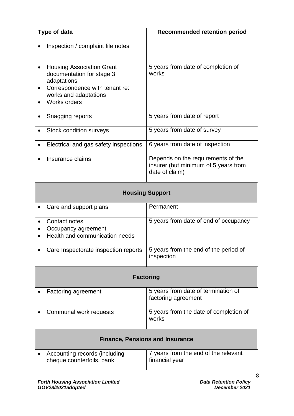|                  | Type of data                                                                                                                                            | <b>Recommended retention period</b>                                                          |
|------------------|---------------------------------------------------------------------------------------------------------------------------------------------------------|----------------------------------------------------------------------------------------------|
|                  | Inspection / complaint file notes                                                                                                                       |                                                                                              |
|                  | <b>Housing Association Grant</b><br>documentation for stage 3<br>adaptations<br>Correspondence with tenant re:<br>works and adaptations<br>Works orders | 5 years from date of completion of<br>works                                                  |
|                  | Snagging reports                                                                                                                                        | 5 years from date of report                                                                  |
|                  | Stock condition surveys                                                                                                                                 | 5 years from date of survey                                                                  |
|                  | Electrical and gas safety inspections                                                                                                                   | 6 years from date of inspection                                                              |
|                  | Insurance claims                                                                                                                                        | Depends on the requirements of the<br>insurer (but minimum of 5 years from<br>date of claim) |
|                  |                                                                                                                                                         | <b>Housing Support</b>                                                                       |
|                  | Care and support plans                                                                                                                                  | Permanent                                                                                    |
|                  | Contact notes<br>Occupancy agreement<br>Health and communication needs                                                                                  | 5 years from date of end of occupancy                                                        |
|                  | Care Inspectorate inspection reports                                                                                                                    | 5 years from the end of the period of<br>inspection                                          |
|                  | <b>Factoring</b>                                                                                                                                        |                                                                                              |
|                  | Factoring agreement                                                                                                                                     | 5 years from date of termination of<br>factoring agreement                                   |
|                  | Communal work requests                                                                                                                                  | 5 years from the date of completion of<br>works                                              |
| $\ddot{\bullet}$ |                                                                                                                                                         |                                                                                              |

#### **Finance, Pensions and Insurance**

| Accounting records (including<br>cheque counterfoils, bank | 7 years from the end of the relevant<br>financial year |
|------------------------------------------------------------|--------------------------------------------------------|
|                                                            |                                                        |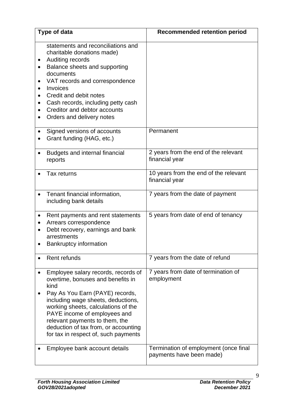|           | Type of data                                                                                                                                                                                                                                                                                                                                       | <b>Recommended retention period</b>                               |
|-----------|----------------------------------------------------------------------------------------------------------------------------------------------------------------------------------------------------------------------------------------------------------------------------------------------------------------------------------------------------|-------------------------------------------------------------------|
| $\bullet$ | statements and reconciliations and<br>charitable donations made)<br>Auditing records<br>Balance sheets and supporting<br>documents<br>VAT records and correspondence<br>Invoices<br>Credit and debit notes<br>Cash records, including petty cash<br>Creditor and debtor accounts<br>Orders and delivery notes                                      |                                                                   |
|           | Signed versions of accounts<br>Grant funding (HAG, etc.)                                                                                                                                                                                                                                                                                           | Permanent                                                         |
|           | Budgets and internal financial<br>reports                                                                                                                                                                                                                                                                                                          | 2 years from the end of the relevant<br>financial year            |
|           | Tax returns                                                                                                                                                                                                                                                                                                                                        | 10 years from the end of the relevant<br>financial year           |
|           | Tenant financial information,<br>including bank details                                                                                                                                                                                                                                                                                            | 7 years from the date of payment                                  |
|           | Rent payments and rent statements<br>Arrears correspondence<br>Debt recovery, earnings and bank<br>arrestments<br><b>Bankruptcy information</b>                                                                                                                                                                                                    | 5 years from date of end of tenancy                               |
|           | Rent refunds                                                                                                                                                                                                                                                                                                                                       | 7 years from the date of refund                                   |
|           | Employee salary records, records of<br>overtime, bonuses and benefits in<br>kind<br>Pay As You Earn (PAYE) records,<br>including wage sheets, deductions,<br>working sheets, calculations of the<br>PAYE income of employees and<br>relevant payments to them, the<br>deduction of tax from, or accounting<br>for tax in respect of, such payments | 7 years from date of termination of<br>employment                 |
|           | Employee bank account details                                                                                                                                                                                                                                                                                                                      | Termination of employment (once final<br>payments have been made) |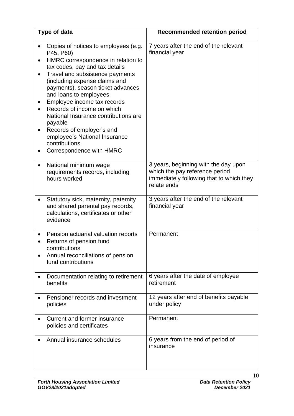|                        | Type of data                                                                                                                                                                                                                                                                                                                                                                                                                                                                            | <b>Recommended retention period</b>                                                                                               |
|------------------------|-----------------------------------------------------------------------------------------------------------------------------------------------------------------------------------------------------------------------------------------------------------------------------------------------------------------------------------------------------------------------------------------------------------------------------------------------------------------------------------------|-----------------------------------------------------------------------------------------------------------------------------------|
| $\bullet$<br>$\bullet$ | Copies of notices to employees (e.g.<br>P45, P60)<br>HMRC correspondence in relation to<br>tax codes, pay and tax details<br>Travel and subsistence payments<br>(including expense claims and<br>payments), season ticket advances<br>and loans to employees<br>Employee income tax records<br>Records of income on which<br>National Insurance contributions are<br>payable<br>Records of employer's and<br>employee's National Insurance<br>contributions<br>Correspondence with HMRC | 7 years after the end of the relevant<br>financial year                                                                           |
|                        | National minimum wage<br>requirements records, including<br>hours worked                                                                                                                                                                                                                                                                                                                                                                                                                | 3 years, beginning with the day upon<br>which the pay reference period<br>immediately following that to which they<br>relate ends |
|                        | Statutory sick, maternity, paternity<br>and shared parental pay records,<br>calculations, certificates or other<br>evidence                                                                                                                                                                                                                                                                                                                                                             | 3 years after the end of the relevant<br>financial year                                                                           |
|                        | Pension actuarial valuation reports<br>Returns of pension fund<br>contributions<br>Annual reconciliations of pension<br>fund contributions                                                                                                                                                                                                                                                                                                                                              | Permanent                                                                                                                         |
|                        | Documentation relating to retirement<br>benefits                                                                                                                                                                                                                                                                                                                                                                                                                                        | 6 years after the date of employee<br>retirement                                                                                  |
|                        | Pensioner records and investment<br>policies                                                                                                                                                                                                                                                                                                                                                                                                                                            | 12 years after end of benefits payable<br>under policy                                                                            |
|                        | Current and former insurance<br>policies and certificates                                                                                                                                                                                                                                                                                                                                                                                                                               | Permanent                                                                                                                         |
|                        | Annual insurance schedules                                                                                                                                                                                                                                                                                                                                                                                                                                                              | 6 years from the end of period of<br>insurance                                                                                    |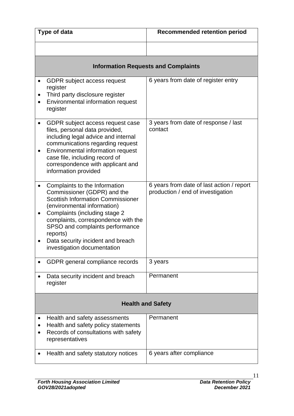| Type of data                                                                                                                                                                                                                                                                                                                       | <b>Recommended retention period</b>                                            |
|------------------------------------------------------------------------------------------------------------------------------------------------------------------------------------------------------------------------------------------------------------------------------------------------------------------------------------|--------------------------------------------------------------------------------|
|                                                                                                                                                                                                                                                                                                                                    |                                                                                |
|                                                                                                                                                                                                                                                                                                                                    | <b>Information Requests and Complaints</b>                                     |
| <b>GDPR</b> subject access request<br>$\bullet$<br>register<br>Third party disclosure register<br>Environmental information request<br>register                                                                                                                                                                                    | 6 years from date of register entry                                            |
| GDPR subject access request case<br>$\bullet$<br>files, personal data provided,<br>including legal advice and internal<br>communications regarding request<br>Environmental information request<br>case file, including record of<br>correspondence with applicant and<br>information provided                                     | 3 years from date of response / last<br>contact                                |
| Complaints to the Information<br>Commissioner (GDPR) and the<br><b>Scottish Information Commissioner</b><br>(environmental information)<br>Complaints (including stage 2<br>complaints, correspondence with the<br>SPSO and complaints performance<br>reports)<br>Data security incident and breach<br>investigation documentation | 6 years from date of last action / report<br>production / end of investigation |
| GDPR general compliance records                                                                                                                                                                                                                                                                                                    | 3 years                                                                        |
| Data security incident and breach<br>register                                                                                                                                                                                                                                                                                      | Permanent                                                                      |
| <b>Health and Safety</b>                                                                                                                                                                                                                                                                                                           |                                                                                |
| Health and safety assessments<br>Health and safety policy statements<br>Records of consultations with safety<br>representatives                                                                                                                                                                                                    | Permanent                                                                      |
| Health and safety statutory notices                                                                                                                                                                                                                                                                                                | 6 years after compliance                                                       |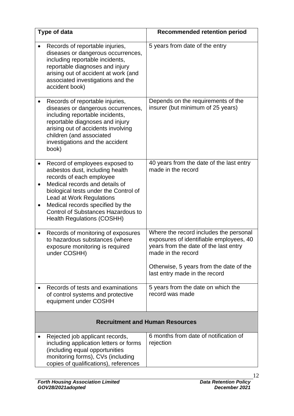|           | Type of data                                                                                                                                                                                                                                                                                                               | <b>Recommended retention period</b>                                                                                                                                                                                          |
|-----------|----------------------------------------------------------------------------------------------------------------------------------------------------------------------------------------------------------------------------------------------------------------------------------------------------------------------------|------------------------------------------------------------------------------------------------------------------------------------------------------------------------------------------------------------------------------|
|           | Records of reportable injuries,<br>diseases or dangerous occurrences,<br>including reportable incidents,<br>reportable diagnoses and injury<br>arising out of accident at work (and<br>associated investigations and the<br>accident book)                                                                                 | 5 years from date of the entry                                                                                                                                                                                               |
|           | Records of reportable injuries,<br>diseases or dangerous occurrences,<br>including reportable incidents,<br>reportable diagnoses and injury<br>arising out of accidents involving<br>children (and associated<br>investigations and the accident<br>book)                                                                  | Depends on the requirements of the<br>insurer (but minimum of 25 years)                                                                                                                                                      |
|           | Record of employees exposed to<br>asbestos dust, including health<br>records of each employee<br>Medical records and details of<br>biological tests under the Control of<br>Lead at Work Regulations<br>Medical records specified by the<br><b>Control of Substances Hazardous to</b><br><b>Health Regulations (COSHH)</b> | 40 years from the date of the last entry<br>made in the record                                                                                                                                                               |
| $\bullet$ | Records of monitoring of exposures<br>to hazardous substances (where<br>exposure monitoring is required<br>under COSHH)                                                                                                                                                                                                    | Where the record includes the personal<br>exposures of identifiable employees, 40<br>vears from the date of the last entry<br>made in the record<br>Otherwise, 5 years from the date of the<br>last entry made in the record |
|           | Records of tests and examinations<br>of control systems and protective<br>equipment under COSHH                                                                                                                                                                                                                            | 5 years from the date on which the<br>record was made                                                                                                                                                                        |
|           |                                                                                                                                                                                                                                                                                                                            | <b>Recruitment and Human Resources</b>                                                                                                                                                                                       |
|           | Rejected job applicant records,<br>including application letters or forms<br>(including equal opportunities<br>monitoring forms), CVs (including<br>copies of qualifications), references                                                                                                                                  | 6 months from date of notification of<br>rejection                                                                                                                                                                           |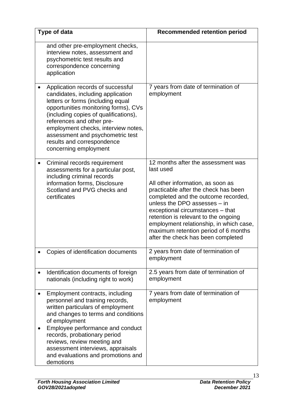| Type of data                                                                                                                                                                                                                                                                                                                                                | <b>Recommended retention period</b>                                                                                                                                                                                                                                                                                                                                                                      |
|-------------------------------------------------------------------------------------------------------------------------------------------------------------------------------------------------------------------------------------------------------------------------------------------------------------------------------------------------------------|----------------------------------------------------------------------------------------------------------------------------------------------------------------------------------------------------------------------------------------------------------------------------------------------------------------------------------------------------------------------------------------------------------|
| and other pre-employment checks,<br>interview notes, assessment and<br>psychometric test results and<br>correspondence concerning<br>application                                                                                                                                                                                                            |                                                                                                                                                                                                                                                                                                                                                                                                          |
| Application records of successful<br>candidates, including application<br>letters or forms (including equal<br>opportunities monitoring forms), CVs<br>(including copies of qualifications),<br>references and other pre-<br>employment checks, interview notes,<br>assessment and psychometric test<br>results and correspondence<br>concerning employment | 7 years from date of termination of<br>employment                                                                                                                                                                                                                                                                                                                                                        |
| Criminal records requirement<br>assessments for a particular post,<br>including criminal records<br>information forms, Disclosure<br>Scotland and PVG checks and<br>certificates                                                                                                                                                                            | 12 months after the assessment was<br>last used<br>All other information, as soon as<br>practicable after the check has been<br>completed and the outcome recorded,<br>unless the DPO assesses - in<br>exceptional circumstances - that<br>retention is relevant to the ongoing<br>employment relationship, in which case,<br>maximum retention period of 6 months<br>after the check has been completed |
| Copies of identification documents                                                                                                                                                                                                                                                                                                                          | 2 years from date of termination of<br>employment                                                                                                                                                                                                                                                                                                                                                        |
| Identification documents of foreign<br>nationals (including right to work)                                                                                                                                                                                                                                                                                  | 2.5 years from date of termination of<br>employment                                                                                                                                                                                                                                                                                                                                                      |
| Employment contracts, including<br>personnel and training records,<br>written particulars of employment<br>and changes to terms and conditions<br>of employment<br>Employee performance and conduct<br>records, probationary period<br>reviews, review meeting and<br>assessment interviews, appraisals<br>and evaluations and promotions and<br>demotions  | 7 years from date of termination of<br>employment                                                                                                                                                                                                                                                                                                                                                        |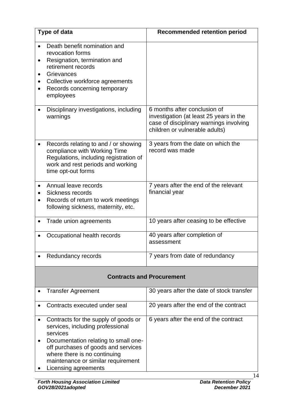| Type of data                                                                                                                                                                                                      | <b>Recommended retention period</b>                                                                                                                  |
|-------------------------------------------------------------------------------------------------------------------------------------------------------------------------------------------------------------------|------------------------------------------------------------------------------------------------------------------------------------------------------|
| Death benefit nomination and<br>revocation forms<br>Resignation, termination and<br>$\bullet$<br>retirement records<br>Grievances<br>Collective workforce agreements<br>Records concerning temporary<br>employees |                                                                                                                                                      |
| Disciplinary investigations, including<br>warnings                                                                                                                                                                | 6 months after conclusion of<br>investigation (at least 25 years in the<br>case of disciplinary warnings involving<br>children or vulnerable adults) |
| Records relating to and / or showing<br>compliance with Working Time<br>Regulations, including registration of<br>work and rest periods and working<br>time opt-out forms                                         | 3 years from the date on which the<br>record was made                                                                                                |
| Annual leave records<br>Sickness records<br>Records of return to work meetings<br>following sickness, maternity, etc.                                                                                             | 7 years after the end of the relevant<br>financial year                                                                                              |
| Trade union agreements                                                                                                                                                                                            | 10 years after ceasing to be effective                                                                                                               |
| Occupational health records                                                                                                                                                                                       | 40 years after completion of<br>assessment                                                                                                           |
| Redundancy records                                                                                                                                                                                                | 7 years from date of redundancy                                                                                                                      |

#### **Contracts and Procurement**

| <b>Transfer Agreement</b>                                                                                                                                                                                                                                         | 30 years after the date of stock transfer |
|-------------------------------------------------------------------------------------------------------------------------------------------------------------------------------------------------------------------------------------------------------------------|-------------------------------------------|
| Contracts executed under seal                                                                                                                                                                                                                                     | 20 years after the end of the contract    |
| Contracts for the supply of goods or<br>services, including professional<br>services<br>Documentation relating to small one-<br>off purchases of goods and services<br>where there is no continuing<br>maintenance or similar requirement<br>Licensing agreements | 6 years after the end of the contract     |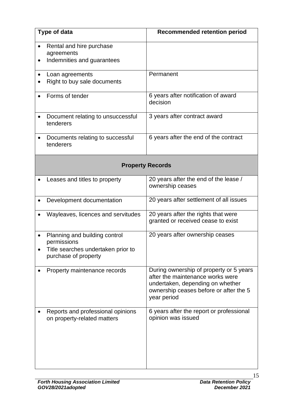| Type of data |                                                                                                            | <b>Recommended retention period</b>                                                                                                                                      |  |
|--------------|------------------------------------------------------------------------------------------------------------|--------------------------------------------------------------------------------------------------------------------------------------------------------------------------|--|
|              | Rental and hire purchase<br>agreements<br>Indemnities and guarantees                                       |                                                                                                                                                                          |  |
|              | Loan agreements<br>Right to buy sale documents                                                             | Permanent                                                                                                                                                                |  |
|              | Forms of tender                                                                                            | 6 years after notification of award<br>decision                                                                                                                          |  |
|              | Document relating to unsuccessful<br>tenderers                                                             | 3 years after contract award                                                                                                                                             |  |
|              | Documents relating to successful<br>tenderers                                                              | 6 years after the end of the contract                                                                                                                                    |  |
|              | <b>Property Records</b>                                                                                    |                                                                                                                                                                          |  |
|              | Leases and titles to property                                                                              | 20 years after the end of the lease /<br>ownership ceases                                                                                                                |  |
|              | Development documentation                                                                                  | 20 years after settlement of all issues                                                                                                                                  |  |
|              | Wayleaves, licences and servitudes                                                                         | 20 years after the rights that were<br>granted or received cease to exist                                                                                                |  |
|              | Planning and building control<br>permissions<br>Title searches undertaken prior to<br>purchase of property | 20 years after ownership ceases                                                                                                                                          |  |
|              | Property maintenance records                                                                               | During ownership of property or 5 years<br>after the maintenance works were<br>undertaken, depending on whether<br>ownership ceases before or after the 5<br>year period |  |
|              | Reports and professional opinions<br>on property-related matters                                           | 6 years after the report or professional<br>opinion was issued                                                                                                           |  |